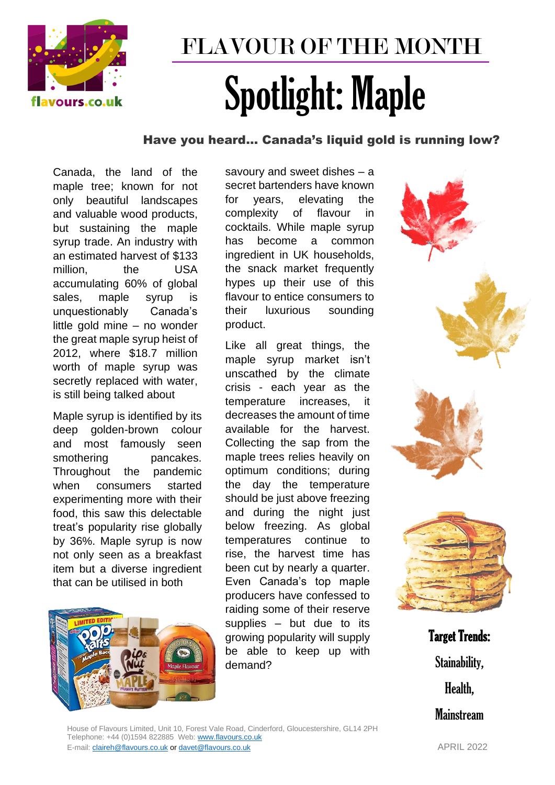

## FLAVOUR OF THE MONTH Spotlight: Maple

## Have you heard… Canada's liquid gold is running low?

Canada, the land of the maple tree; known for not only beautiful landscapes and valuable wood products, but sustaining the maple syrup trade. An industry with an estimated harvest of \$133 million, the USA accumulating 60% of global sales, maple syrup is unquestionably Canada's little gold mine – no wonder the great maple syrup heist of 2012, where \$18.7 million worth of maple syrup was secretly replaced with water, is still being talked about

Maple syrup is identified by its deep golden-brown colour and most famously seen smothering pancakes. Throughout the pandemic when consumers started experimenting more with their food, this saw this delectable treat's popularity rise globally by 36%. Maple syrup is now not only seen as a breakfast item but a diverse ingredient that can be utilised in both



savoury and sweet dishes – a secret bartenders have known for years, elevating the complexity of flavour in cocktails. While maple syrup has become a common ingredient in UK households, the snack market frequently hypes up their use of this flavour to entice consumers to their luxurious sounding product.

Like all great things, the maple syrup market isn't unscathed by the climate crisis - each year as the temperature increases, it decreases the amount of time available for the harvest. Collecting the sap from the maple trees relies heavily on optimum conditions; during the day the temperature should be just above freezing and during the night just below freezing. As global temperatures continue to rise, the harvest time has been cut by nearly a quarter. Even Canada's top maple producers have confessed to raiding some of their reserve supplies – but due to its growing popularity will supply be able to keep up with demand?



Target Trends: Stainability, Health, **Mainstream** 

House of Flavours Limited, Unit 10, Forest Vale Road, Cinderford, Gloucestershire, GL14 2PH Telephone: +44 (0)1594 822885 Web: [www.flavours.co.uk](http://www.flavours.co.uk/)  E-mail: [claireh@flavours.co.uk](mailto:claireh@flavours.co.uk) o[r davet@flavours.co.uk](mailto:davet@flavours.co.uk) APRIL 2022